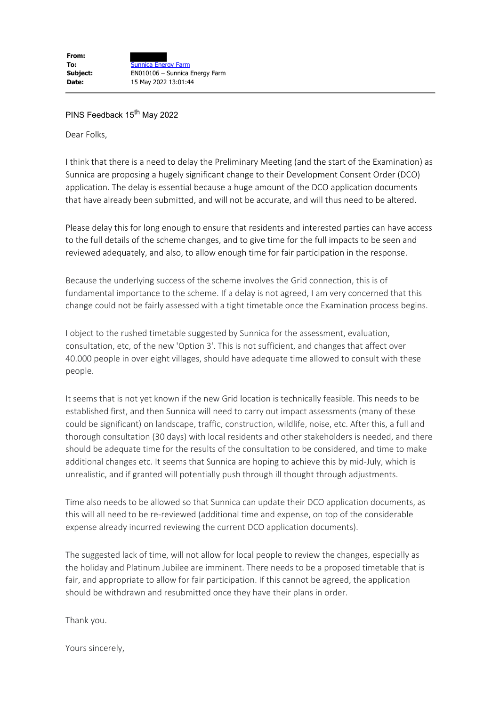## PINS Feedback 15<sup>th</sup> May 2022

Dear Folks,

I think that there is a need to delay the Preliminary Meeting (and the start of the Examination) as Sunnica are proposing a hugely significant change to their Development Consent Order (DCO) application. The delay is essential because a huge amount of the DCO application documents that have already been submitted, and will not be accurate, and will thus need to be altered.

Please delay this for long enough to ensure that residents and interested parties can have access to the full details of the scheme changes, and to give time for the full impacts to be seen and reviewed adequately, and also, to allow enough time for fair participation in the response.

Because the underlying success of the scheme involves the Grid connection, this is of fundamental importance to the scheme. If a delay is not agreed, I am very concerned that this change could not be fairly assessed with a tight timetable once the Examination process begins.

I object to the rushed timetable suggested by Sunnica for the assessment, evaluation, consultation, etc, of the new 'Option 3'. This is not sufficient, and changes that affect over 40.000 people in over eight villages, should have adequate time allowed to consult with these people.

It seems that is not yet known if the new Grid location is technically feasible. This needs to be established first, and then Sunnica will need to carry out impact assessments (many of these could be significant) on landscape, traffic, construction, wildlife, noise, etc. After this, a full and thorough consultation (30 days) with local residents and other stakeholders is needed, and there should be adequate time for the results of the consultation to be considered, and time to make additional changes etc. It seems that Sunnica are hoping to achieve this by mid-July, which is unrealistic, and if granted will potentially push through ill thought through adjustments.

Time also needs to be allowed so that Sunnica can update their DCO application documents, as this will all need to be re-reviewed (additional time and expense, on top of the considerable expense already incurred reviewing the current DCO application documents).

The suggested lack of time, will not allow for local people to review the changes, especially as the holiday and Platinum Jubilee are imminent. There needs to be a proposed timetable that is fair, and appropriate to allow for fair participation. If this cannot be agreed, the application should be withdrawn and resubmitted once they have their plans in order.

Thank you.

Yours sincerely,